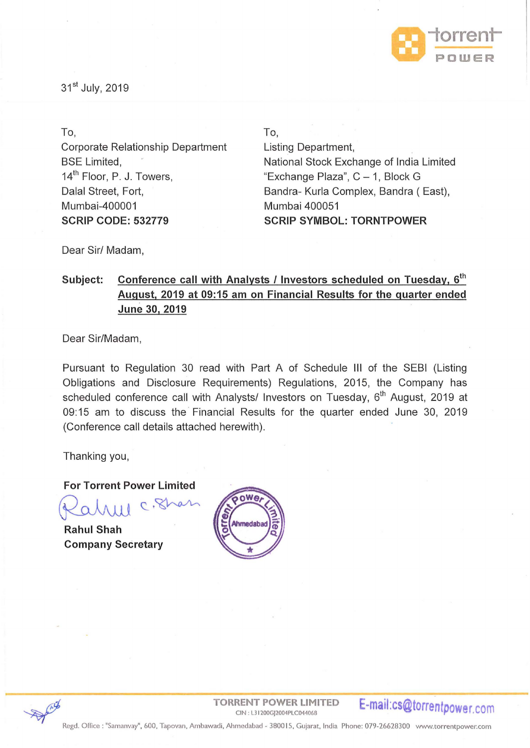

31<sup>st</sup> July, 2019

To, Corporate Relationship Department BSE Limited, 14<sup>th</sup> Floor, P. J. Towers, Dalal Street, Fort, Mumbai-400001 **SCRIP CODE: 532779** 

To, Listing Department, National Stock Exchange of India Limited "Exchange Plaza", C- 1, Block G Bandra- Kurla Complex, Bandra (East), Mumbai 400051 **SCRIP SYMBOL: TORNTPOWER** 

Dear Sir/ Madam,

## Subject: Conference call with Analysts / Investors scheduled on Tuesday, 6<sup>th</sup> **August, 2019 at 09:15am on Financial Results for the quarter ended June 30, 2019**

Dear Sir/Madam,

Pursuant to Regulation 30 read with Part A of Schedule Ill of the SEBI (Listing Obligations and Disclosure Requirements) Regulations, 2015, the Company has scheduled conference call with Analysts/ Investors on Tuesday, 6<sup>th</sup> August, 2019 at 09:15 am to discuss the Financial Results for the quarter ended June 30, 2019 (Conference call details attached herewith).

Thanking you,

**For Torrent Power Limited** 

Rahme c. Shan

**Rahul Shah Company Secretary** 





TORRENT POWER LIMITED **E-mail:cs@torrentpower.com**